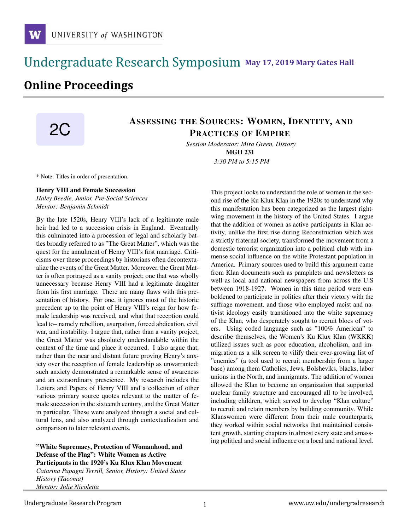### **May 17, 2019 Mary Gates Hall** Ĭ

# **Online Proceedings**

## ASSESSING THE SOURCES: WOMEN, IDENTITY, AND PRACTICES OF EMPIRE

*Session Moderator: Mira Green, History* MGH 231 *3:30 PM to 5:15 PM*

\* Note: Titles in order of presentation.

#### Henry VIII and Female Succession

*Haley Beedle, Junior, Pre-Social Sciences Mentor: Benjamin Schmidt*

By the late 1520s, Henry VIII's lack of a legitimate male heir had led to a succession crisis in England. Eventually this culminated into a procession of legal and scholarly battles broadly referred to as "The Great Matter", which was the quest for the annulment of Henry VIII's first marriage. Criticisms over these proceedings by historians often decontextualize the events of the Great Matter. Moreover, the Great Matter is often portrayed as a vanity project; one that was wholly unnecessary because Henry VIII had a legitimate daughter from his first marriage. There are many flaws with this presentation of history. For one, it ignores most of the historic precedent up to the point of Henry VIII's reign for how female leadership was received, and what that reception could lead to– namely rebellion, usurpation, forced abdication, civil war, and instability. I argue that, rather than a vanity project, the Great Matter was absolutely understandable within the context of the time and place it occurred. I also argue that, rather than the near and distant future proving Henry's anxiety over the reception of female leadership as unwarranted; such anxiety demonstrated a remarkable sense of awareness and an extraordinary prescience. My research includes the Letters and Papers of Henry VIII and a collection of other various primary source quotes relevant to the matter of female succession in the sixteenth century, and the Great Matter in particular. These were analyzed through a social and cultural lens, and also analyzed through contextualization and comparison to later relevant events.

"White Supremacy, Protection of Womanhood, and Defense of the Flag": White Women as Active Participants in the 1920's Ku Klux Klan Movement

*Catarina Papagni Terrill, Senior, History: United States History (Tacoma) Mentor: Julie Nicoletta*

This project looks to understand the role of women in the second rise of the Ku Klux Klan in the 1920s to understand why this manifestation has been categorized as the largest rightwing movement in the history of the United States. I argue that the addition of women as active participants in Klan activity, unlike the first rise during Reconstruction which was a strictly fraternal society, transformed the movement from a domestic terrorist organization into a political club with immense social influence on the white Protestant population in America. Primary sources used to build this argument came from Klan documents such as pamphlets and newsletters as well as local and national newspapers from across the U.S between 1918-1927. Women in this time period were emboldened to participate in politics after their victory with the suffrage movement, and those who employed racist and nativist ideology easily transitioned into the white supremacy of the Klan, who desperately sought to recruit blocs of voters. Using coded language such as "100% American" to describe themselves, the Women's Ku Klux Klan (WKKK) utilized issues such as poor education, alcoholism, and immigration as a silk screen to vilify their ever-growing list of "enemies" (a tool used to recruit membership from a larger base) among them Catholics, Jews, Bolsheviks, blacks, labor unions in the North, and immigrants. The addition of women allowed the Klan to become an organization that supported nuclear family structure and encouraged all to be involved, including children, which served to develop "Klan culture" to recruit and retain members by building community. While Klanswomen were different from their male counterparts, they worked within social networks that maintained consistent growth, starting chapters in almost every state and amassing political and social influence on a local and national level.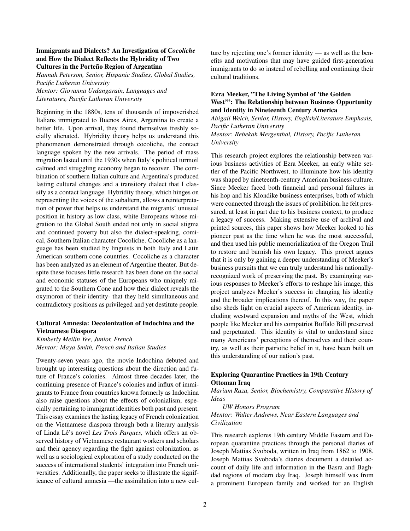#### Immigrants and Dialects? An Investigation of C*ocoliche* and How the Dialect Reflects the Hybridity of Two Cultures in the Porteño Region of Argentina

*Hannah Peterson, Senior, Hispanic Studies, Global Studies, Pacific Lutheran University Mentor: Giovanna Urdangarain, Languages and Literatures, Pacific Lutheran University*

Beginning in the 1880s, tens of thousands of impoverished Italians immigrated to Buenos Aires, Argentina to create a better life. Upon arrival, they found themselves freshly socially alienated. Hybridity theory helps us understand this phenomenon demonstrated through cocoliche, the contact language spoken by the new arrivals. The period of mass migration lasted until the 1930s when Italy's political turmoil calmed and struggling economy began to recover. The combination of southern Italian culture and Argentina's produced lasting cultural changes and a transitory dialect that I classify as a contact language. Hybridity theory, which hinges on representing the voices of the subaltern, allows a reinterpretation of power that helps us understand the migrants' unusual position in history as low class, white Europeans whose migration to the Global South ended not only in social stigma and continued poverty but also the dialect-speaking, comical, Southern Italian character Cocoliche. Cocoliche as a language has been studied by linguists in both Italy and Latin American southern cone countries. Cocoliche as a character has been analyzed as an element of Argentine theater. But despite these focuses little research has been done on the social and economic statuses of the Europeans who uniquely migrated to the Southern Cone and how their dialect reveals the oxymoron of their identity- that they held simultaneous and contradictory positions as privileged and yet destitute people.

#### Cultural Amnesia: Decolonization of Indochina and the Vietnamese Diaspora

*Kimberly Meilin Yee, Junior, French Mentor: Maya Smith, French and Italian Studies*

Twenty-seven years ago, the movie Indochina debuted and brought up interesting questions about the direction and future of France's colonies. Almost three decades later, the continuing presence of France's colonies and influx of immigrants to France from countries known formerly as Indochina also raise questions about the effects of colonialism, especially pertaining to immigrant identities both past and present. This essay examines the lasting legacy of French colonization on the Vietnamese diaspora through both a literary analysis of Linda Lê's novel Les Trois Parques, which offers an observed history of Vietnamese restaurant workers and scholars and their agency regarding the fight against colonization, as well as a sociological exploration of a study conducted on the success of international students' integration into French universities. Additionally, the paper seeks to illustrate the significance of cultural amnesia —the assimilation into a new culture by rejecting one's former identity — as well as the benefits and motivations that may have guided first-generation immigrants to do so instead of rebelling and continuing their cultural traditions.

#### Ezra Meeker, "The Living Symbol of 'the Golden West"": The Relationship between Business Opportunity and Identity in Nineteenth Century America

*Abigail Welch, Senior, History, English/Literature Emphasis, Pacific Lutheran University Mentor: Rebekah Mergenthal, History, Pacific Lutheran University*

This research project explores the relationship between various business activities of Ezra Meeker, an early white settler of the Pacific Northwest, to illuminate how his identity was shaped by nineteenth-century American business culture. Since Meeker faced both financial and personal failures in his hop and his Klondike business enterprises, both of which were connected through the issues of prohibition, he felt pressured, at least in part due to his business context, to produce a legacy of success. Making extensive use of archival and printed sources, this paper shows how Meeker looked to his pioneer past as the time when he was the most successful, and then used his public memorialization of the Oregon Trail to restore and burnish his own legacy. This project argues that it is only by gaining a deeper understanding of Meeker's business pursuits that we can truly understand his nationallyrecognized work of preserving the past. By examinging various responses to Meeker's efforts to reshape his image, this project analyzes Meeker's success in changing his identity and the broader implications thereof. In this way, the paper also sheds light on crucial aspects of American identity, including westward expansion and myths of the West, which people like Meeker and his compatriot Buffalo Bill preserved and perpetuated. This identity is vital to understand since many Americans' perceptions of themselves and their country, as well as their patriotic belief in it, have been built on this understanding of our nation's past.

#### Exploring Quarantine Practices in 19th Century Ottoman Iraq

*Marium Raza, Senior, Biochemistry, Comparative History of Ideas*

*UW Honors Program Mentor: Walter Andrews, Near Eastern Languages and Civilization*

This research explores 19th century Middle Eastern and European quarantine practices through the personal diaries of Joseph Mattias Svoboda, written in Iraq from 1862 to 1908. Joseph Mattias Svoboda's diaries document a detailed account of daily life and information in the Basra and Baghdad regions of modern day Iraq. Joseph himself was from a prominent European family and worked for an English